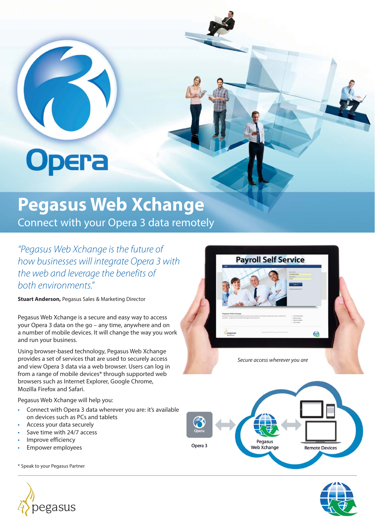# **Opera**

## **Pegasus Web Xchange**

Connect with your Opera 3 data remotely

*"Pegasus Web Xchange is the future of how businesses will integrate Opera 3 with the web and leverage the benefits of both environments."*

**Stuart Anderson,** Pegasus Sales & Marketing Director

Pegasus Web Xchange is a secure and easy way to access your Opera 3 data on the go – any time, anywhere and on a number of mobile devices. It will change the way you work and run your business.

Using browser-based technology, Pegasus Web Xchange provides a set of services that are used to securely access and view Opera 3 data via a web browser. Users can log in from a range of mobile devices\* through supported web browsers such as Internet Explorer, Google Chrome, Mozilla Firefox and Safari.

Pegasus Web Xchange will help you:

- Connect with Opera 3 data wherever you are: it's available on devices such as PCs and tablets
- Access your data securely
- Save time with 24/7 access
- Improve efficiency
- Empower employees

\* Speak to your Pegasus Partner